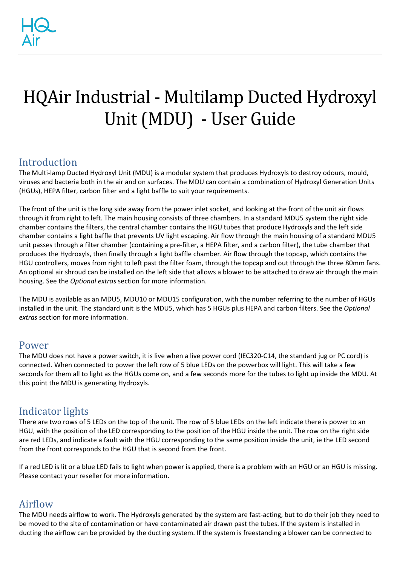# HQAir Industrial - Multilamp Ducted Hydroxyl Unit(MDU) - User Guide

## Introduction

The Multi-lamp Ducted Hydroxyl Unit (MDU) is a modular system that produces Hydroxyls to destroy odours, mould, viruses and bacteria both in the air and on surfaces. The MDU can contain a combination of Hydroxyl Generation Units (HGUs), HEPA filter, carbon filter and a light baffle to suit your requirements.

The front of the unit is the long side away from the power inlet socket, and looking at the front of the unit air flows through it from right to left. The main housing consists of three chambers. In a standard MDU5 system the right side chamber contains the filters, the central chamber contains the HGU tubes that produce Hydroxyls and the left side chamber contains a light baffle that prevents UV light escaping. Air flow through the main housing of a standard MDU5 unit passes through a filter chamber (containing a pre-filter, a HEPA filter, and a carbon filter), the tube chamber that produces the Hydroxyls, then finally through a light baffle chamber. Air flow through the topcap, which contains the HGU controllers, moves from right to left past the filter foam, through the topcap and out through the three 80mm fans. An optional air shroud can be installed on the left side that allows a blower to be attached to draw air through the main housing. See the *Optional extras* section for more information.

The MDU is available as an MDU5, MDU10 or MDU15 configuration, with the number referring to the number of HGUs installed in the unit. The standard unit is the MDU5, which has 5 HGUs plus HEPA and carbon filters. See the *Optional extras* section for more information.

### Power

The MDU does not have a power switch, it is live when a live power cord (IEC320-C14, the standard jug or PC cord) is connected. When connected to power the left row of 5 blue LEDs on the powerbox will light. This will take a few seconds for them all to light as the HGUs come on, and a few seconds more for the tubes to light up inside the MDU. At this point the MDU is generating Hydroxyls.

## Indicator lights

There are two rows of 5 LEDs on the top of the unit. The row of 5 blue LEDs on the left indicate there is power to an HGU, with the position of the LED corresponding to the position of the HGU inside the unit. The row on the right side are red LEDs, and indicate a fault with the HGU corresponding to the same position inside the unit, ie the LED second from the front corresponds to the HGU that is second from the front.

If a red LED is lit or a blue LED fails to light when power is applied, there is a problem with an HGU or an HGU is missing. Please contact your reseller for more information.

## Airflow

The MDU needs airflow to work. The Hydroxyls generated by the system are fast-acting, but to do their job they need to be moved to the site of contamination or have contaminated air drawn past the tubes. If the system is installed in ducting the airflow can be provided by the ducting system. If the system is freestanding a blower can be connected to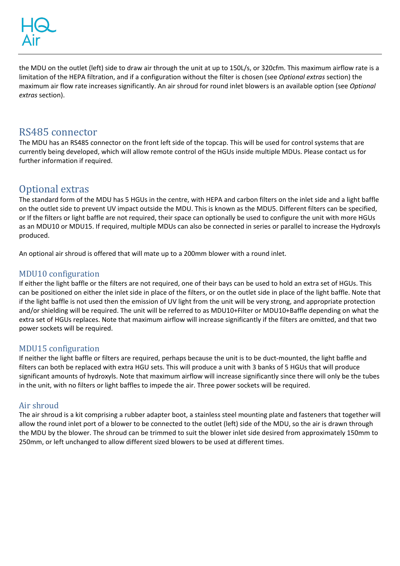the MDU on the outlet (left) side to draw air through the unit at up to 150L/s, or 320cfm. This maximum airflow rate is a limitation of the HEPA filtration, and if a configuration without the filter is chosen (see *Optional extras* section) the maximum air flow rate increases significantly. An air shroud for round inlet blowers is an available option (see *Optional extras* section).

# RS485 connector

The MDU has an RS485 connector on the front left side of the topcap. This will be used for control systems that are currently being developed, which will allow remote control of the HGUs inside multiple MDUs. Please contact us for further information if required.

#### Optional extras

The standard form of the MDU has 5 HGUs in the centre, with HEPA and carbon filters on the inlet side and a light baffle on the outlet side to prevent UV impact outside the MDU. This is known as the MDU5. Different filters can be specified, or If the filters or light baffle are not required, their space can optionally be used to configure the unit with more HGUs as an MDU10 or MDU15. If required, multiple MDUs can also be connected in series or parallel to increase the Hydroxyls produced.

An optional air shroud is offered that will mate up to a 200mm blower with a round inlet.

#### MDU10 configuration

If either the light baffle or the filters are not required, one of their bays can be used to hold an extra set of HGUs. This can be positioned on either the inlet side in place of the filters, or on the outlet side in place of the light baffle. Note that if the light baffle is not used then the emission of UV light from the unit will be very strong, and appropriate protection and/or shielding will be required. The unit will be referred to as MDU10+Filter or MDU10+Baffle depending on what the extra set of HGUs replaces. Note that maximum airflow will increase significantly if the filters are omitted, and that two power sockets will be required.

#### MDU15 configuration

If neither the light baffle or filters are required, perhaps because the unit is to be duct-mounted, the light baffle and filters can both be replaced with extra HGU sets. This will produce a unit with 3 banks of 5 HGUs that will produce significant amounts of hydroxyls. Note that maximum airflow will increase significantly since there will only be the tubes in the unit, with no filters or light baffles to impede the air. Three power sockets will be required.

#### Air shroud

The air shroud is a kit comprising a rubber adapter boot, a stainless steel mounting plate and fasteners that together will allow the round inlet port of a blower to be connected to the outlet (left) side of the MDU, so the air is drawn through the MDU by the blower. The shroud can be trimmed to suit the blower inlet side desired from approximately 150mm to 250mm, or left unchanged to allow different sized blowers to be used at different times.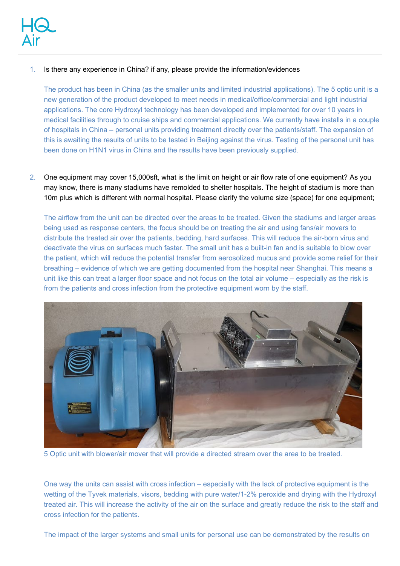1. Is there any experience in China? if any, please provide the information/evidences

The product has been in China (as the smaller units and limited industrial applications). The 5 optic unit is a new generation of the product developed to meet needs in medical/office/commercial and light industrial applications. The core Hydroxyl technology has been developed and implemented for over 10 years in medical facilities through to cruise ships and commercial applications. We currently have installs in a couple of hospitals in China – personal units providing treatment directly over the patients/staff. The expansion of this is awaiting the results of units to be tested in Beijing against the virus. Testing of the personal unit has been done on H1N1 virus in China and the results have been previously supplied.

2. One equipment may cover 15,000sft, what is the limit on height or air flow rate of one equipment? As you may know, there is many stadiums have remolded to shelter hospitals. The height of stadium is more than 10m plus which is different with normal hospital. Please clarify the volume size (space) for one equipment;

The airflow from the unit can be directed over the areas to be treated. Given the stadiums and larger areas being used as response centers, the focus should be on treating the air and using fans/air movers to distribute the treated air over the patients, bedding, hard surfaces. This will reduce the air-born virus and deactivate the virus on surfaces much faster. The small unit has a built-in fan and is suitable to blow over the patient, which will reduce the potential transfer from aerosolized mucus and provide some relief for their breathing – evidence of which we are getting documented from the hospital near Shanghai. This means a unit like this can treat a larger floor space and not focus on the total air volume – especially as the risk is from the patients and cross infection from the protective equipment worn by the staff.



5 Optic unit with blower/air mover that will provide a directed stream over the area to be treated.

One way the units can assist with cross infection – especially with the lack of protective equipment is the wetting of the Tyvek materials, visors, bedding with pure water/1-2% peroxide and drying with the Hydroxyl treated air. This will increase the activity of the air on the surface and greatly reduce the risk to the staff and cross infection for the patients.

The impact of the larger systems and small units for personal use can be demonstrated by the results on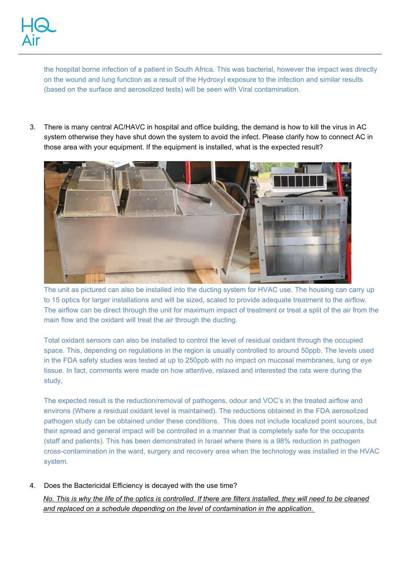the hospital borne infection of a patient in South Africa. This was bacterial, however the impact was directly on the wound and lung function as a result of the Hydroxyl exposure to the infection and similar results (based on the surface and aerosolized tests) will be seen with Viral contamination.

3. There is many central AC/HAVC in hospital and office building, the demand is how to kill the virus in AC system otherwise they have shut down the system to avoid the infect. Please clarify how to connect AC in those area with your equipment. If the equipment is installed, what is the expected result?



The unit as pictured can also be installed into the ducting system for HVAC use. The housing can carry up to 15 optics for larger installations and will be sized, scaled to provide adequate treatment to the airflow. The airflow can be direct through the unit for maximum impact of treatment or treat a split of the air from the main flow and the oxidant will treat the air through the ducting.

Total oxidant sensors can also be installed to control the level of residual oxidant through the occupied space. This, depending on regulations in the region is usually controlled to around 50ppb. The levels used in the FDA safety studies was tested at up to 250ppb with no impact on mucosal membranes, lung or eye tissue. In fact, comments were made on how attentive, relaxed and interested the rats were during the study,

The expected result is the reduction/removal of pathogens, odour and VOC's in the treated airflow and environs (Where a residual oxidant level is maintained). The reductions obtained in the FDA aerosolized pathogen study can be obtained under these conditions. This does not include localized point sources, but their spread and general impact will be controlled in a manner that is completely safe for the occupants (staff and patients). This has been demonstrated in Israel where there is a 98% reduction in pathogen cross-contamination in the ward, surgery and recovery area when the technology was installed in the HVAC system.

4. Does the Bactericidal Efficiency is decayed with the use time?

*No. This is why the life of the optics is controlled. If there are filters installed, they will need to be cleaned and replaced on a schedule depending on the level of contamination in the application.*